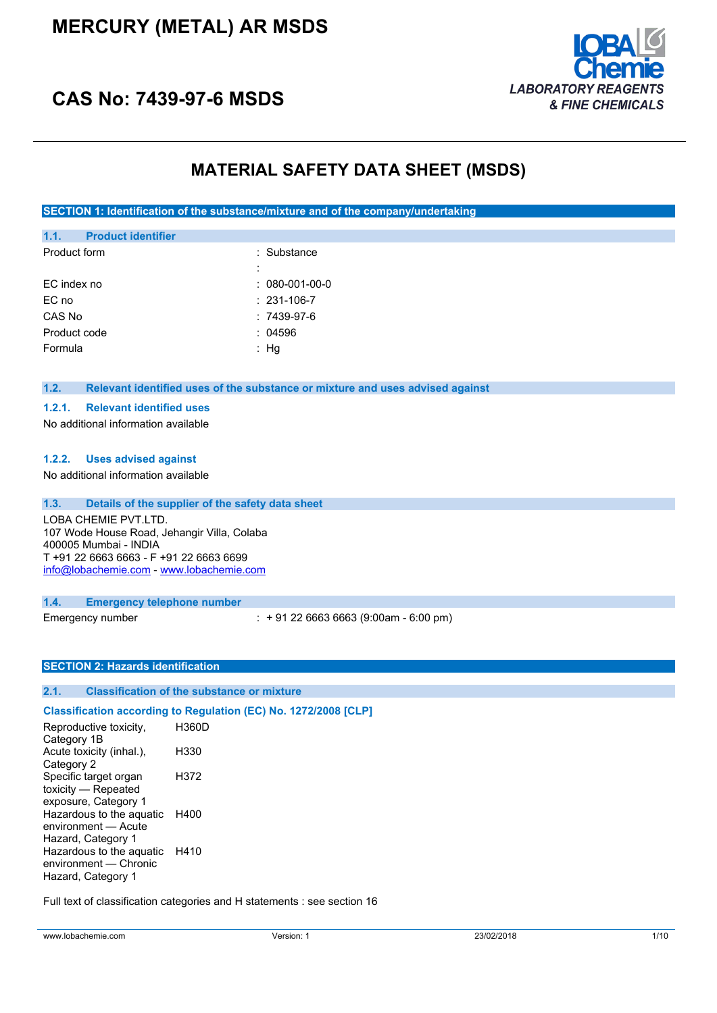# **MERCURY (METAL) AR MSDS**



# **CAS No: 7439-97-6 MSDS**

## **MATERIAL SAFETY DATA SHEET (MSDS)**

**SECTION 1: Identification of the substance/mixture and of the company/undertaking**

| 1.1.         | <b>Product identifier</b> |                        |
|--------------|---------------------------|------------------------|
| Product form |                           | : Substance            |
|              |                           |                        |
| EC index no  |                           | $: 080 - 001 - 00 - 0$ |
| EC no        |                           | $: 231 - 106 - 7$      |
| CAS No       |                           | $:7439-97-6$           |
| Product code |                           | : 04596                |
| Formula      |                           | Hq                     |
|              |                           |                        |

#### **1.2. Relevant identified uses of the substance or mixture and uses advised against**

#### **1.2.1. Relevant identified uses**

No additional information available

#### **1.2.2. Uses advised against**

No additional information available

**1.3. Details of the supplier of the safety data sheet** LOBA CHEMIE PVT.LTD. 107 Wode House Road, Jehangir Villa, Colaba 400005 Mumbai - INDIA T +91 22 6663 6663 - F +91 22 6663 6699 [info@lobachemie.com](mailto:info@lobachemie.com) - <www.lobachemie.com>

#### **1.4. Emergency telephone number**

Emergency number : + 91 22 6663 6663 (9:00am - 6:00 pm)

#### **SECTION 2: Hazards identification**

### **2.1. Classification of the substance or mixture**

**Classification according to Regulation (EC) No. 1272/2008 [CLP]** Reproductive toxicity, Category 1B H360D Acute toxicity (inhal.), Category 2 H330 Specific target organ toxicity — Repeated exposure, Category 1 H372 Hazardous to the aquatic H400 environment — Acute Hazard, Category 1 Hazardous to the aquatic H410 environment — Chronic Hazard, Category 1

Full text of classification categories and H statements : see section 16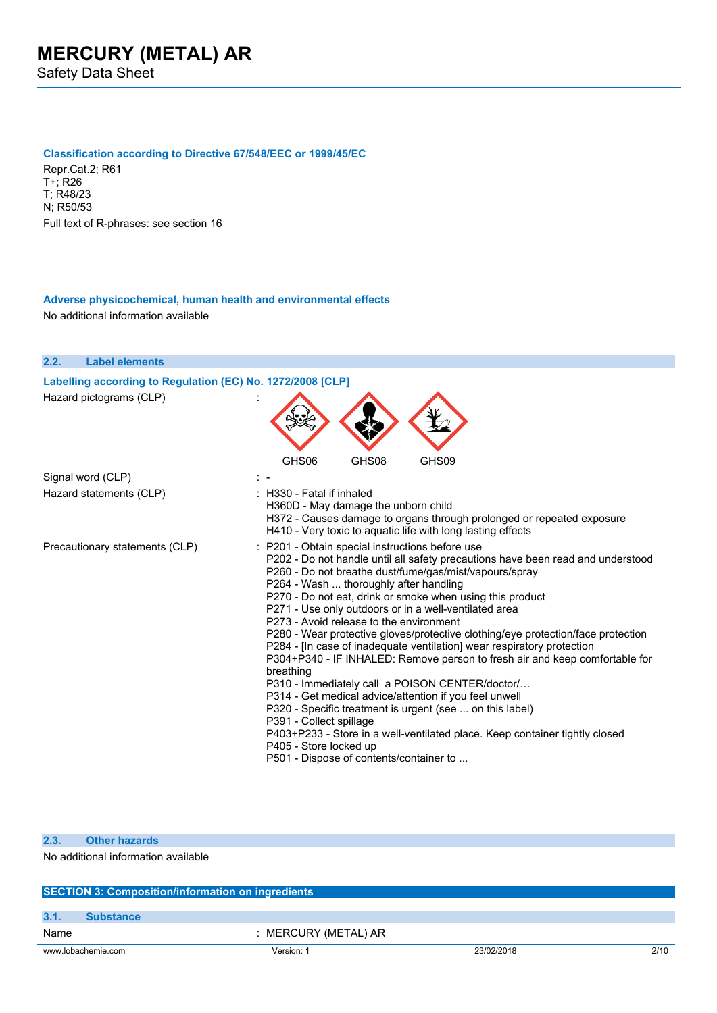#### **Classification according to Directive 67/548/EEC or 1999/45/EC**

Repr.Cat.2; R61 T+; R26 T; R48/23 N; R50/53 Full text of R-phrases: see section 16

#### **Adverse physicochemical, human health and environmental effects** No additional information available



| 2.3. | <b>Other hazards</b>                                     |                      |            |      |  |  |
|------|----------------------------------------------------------|----------------------|------------|------|--|--|
|      | No additional information available                      |                      |            |      |  |  |
|      | <b>SECTION 3: Composition/information on ingredients</b> |                      |            |      |  |  |
| 3.1  | <b>Substance</b>                                         |                      |            |      |  |  |
| Name |                                                          | : MERCURY (METAL) AR |            |      |  |  |
|      | www.lobachemie.com                                       | Version: 1           | 23/02/2018 | 2/10 |  |  |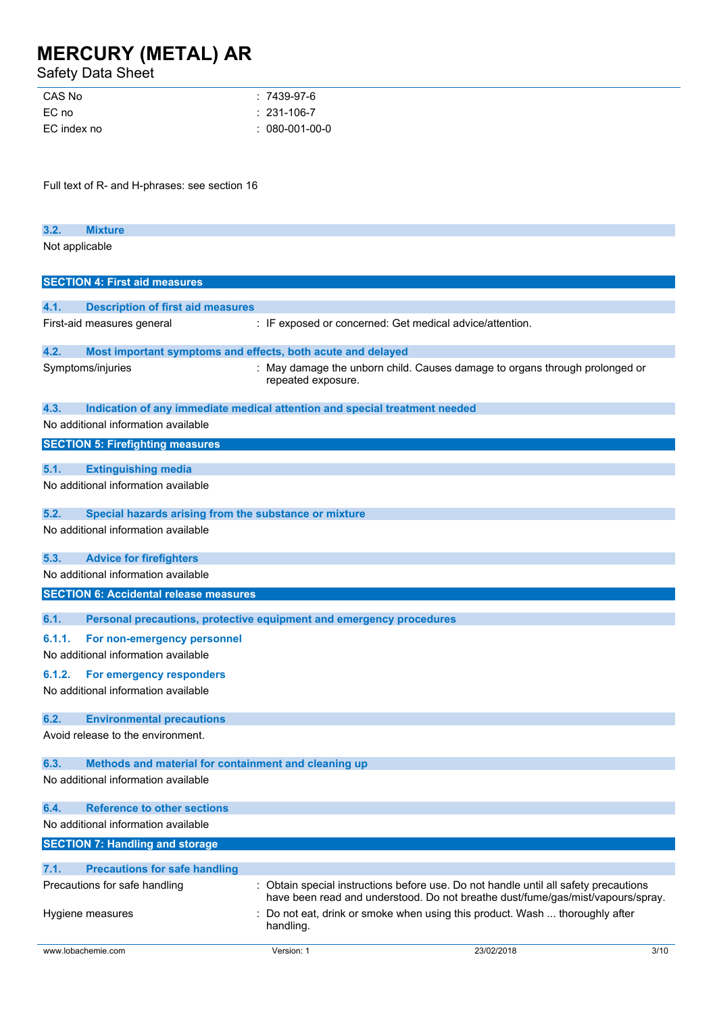Safety Data Sheet

| : 7439-97-6       |
|-------------------|
| $: 231 - 106 - 7$ |
| $: 080-001-00-0$  |
|                   |

Full text of R- and H-phrases: see section 16

| 3.2.           | <b>Mixture</b> |  |
|----------------|----------------|--|
| Not applicable |                |  |

|        | <b>SECTION 4: First aid measures</b>                               |                                                                                                                                                                         |
|--------|--------------------------------------------------------------------|-------------------------------------------------------------------------------------------------------------------------------------------------------------------------|
|        |                                                                    |                                                                                                                                                                         |
| 4.1.   | <b>Description of first aid measures</b>                           |                                                                                                                                                                         |
|        | First-aid measures general                                         | : IF exposed or concerned: Get medical advice/attention.                                                                                                                |
| 4.2.   | Most important symptoms and effects, both acute and delayed        |                                                                                                                                                                         |
|        | Symptoms/injuries                                                  | : May damage the unborn child. Causes damage to organs through prolonged or<br>repeated exposure.                                                                       |
| 4.3.   |                                                                    | Indication of any immediate medical attention and special treatment needed                                                                                              |
|        | No additional information available                                |                                                                                                                                                                         |
|        | <b>SECTION 5: Firefighting measures</b>                            |                                                                                                                                                                         |
|        |                                                                    |                                                                                                                                                                         |
| 5.1.   | <b>Extinguishing media</b><br>No additional information available  |                                                                                                                                                                         |
|        |                                                                    |                                                                                                                                                                         |
| 5.2.   | Special hazards arising from the substance or mixture              |                                                                                                                                                                         |
|        | No additional information available                                |                                                                                                                                                                         |
| 5.3.   | <b>Advice for firefighters</b>                                     |                                                                                                                                                                         |
|        | No additional information available                                |                                                                                                                                                                         |
|        | <b>SECTION 6: Accidental release measures</b>                      |                                                                                                                                                                         |
|        |                                                                    |                                                                                                                                                                         |
| 6.1.   |                                                                    | Personal precautions, protective equipment and emergency procedures                                                                                                     |
| 6.1.1. | For non-emergency personnel<br>No additional information available |                                                                                                                                                                         |
| 6.1.2. | For emergency responders                                           |                                                                                                                                                                         |
|        | No additional information available                                |                                                                                                                                                                         |
| 6.2.   | <b>Environmental precautions</b>                                   |                                                                                                                                                                         |
|        | Avoid release to the environment.                                  |                                                                                                                                                                         |
| 6.3.   | Methods and material for containment and cleaning up               |                                                                                                                                                                         |
|        | No additional information available                                |                                                                                                                                                                         |
| 6.4.   | <b>Reference to other sections</b>                                 |                                                                                                                                                                         |
|        | No additional information available                                |                                                                                                                                                                         |
|        | <b>SECTION 7: Handling and storage</b>                             |                                                                                                                                                                         |
|        |                                                                    |                                                                                                                                                                         |
| 7.1.   | <b>Precautions for safe handling</b>                               |                                                                                                                                                                         |
|        | Precautions for safe handling                                      | : Obtain special instructions before use. Do not handle until all safety precautions<br>have been read and understood. Do not breathe dust/fume/gas/mist/vapours/spray. |
|        | Hygiene measures                                                   | Do not eat, drink or smoke when using this product. Wash  thoroughly after<br>handling.                                                                                 |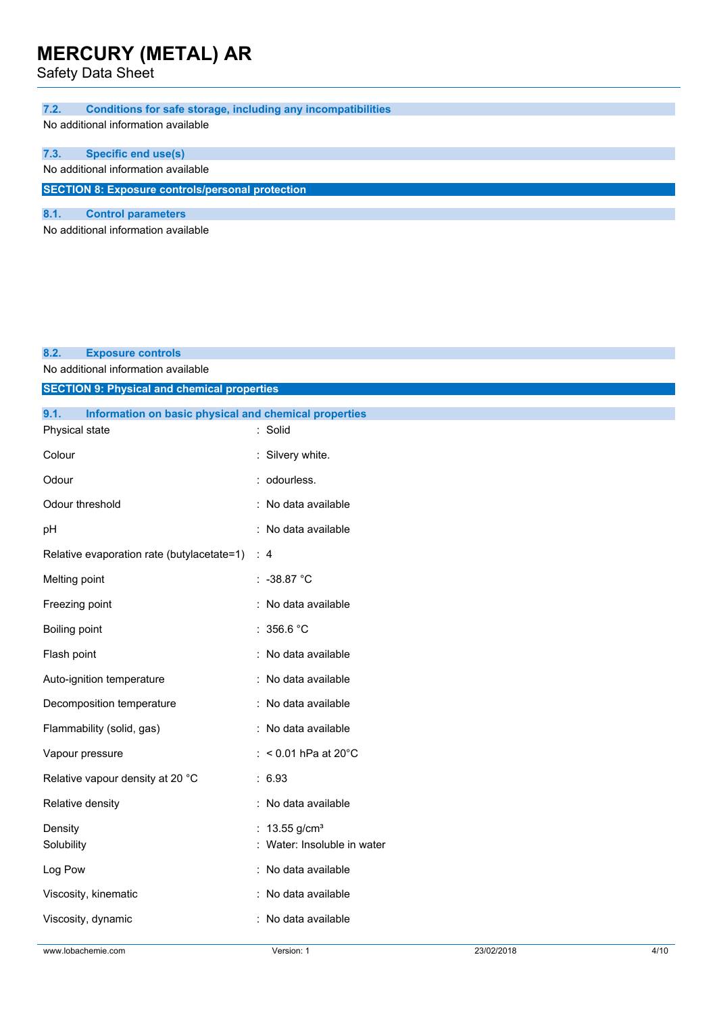Safety Data Sheet

| 7.2. |  |  | <b>Conditions for safe storage, including any incompatibilities</b> |
|------|--|--|---------------------------------------------------------------------|
|      |  |  |                                                                     |

No additional information available

| <b>Specific end use(s)</b><br>7.3. |
|------------------------------------|
|------------------------------------|

No additional information available

**SECTION 8: Exposure controls/personal protection**

### **8.1. Control parameters**

No additional information available

#### **8.2. Exposure controls**

No additional information available

| <b>SECTION 9: Physical and chemical properties</b>            |                                                            |
|---------------------------------------------------------------|------------------------------------------------------------|
| 9.1.<br>Information on basic physical and chemical properties |                                                            |
| Physical state                                                | : Solid                                                    |
| Colour                                                        | : Silvery white.                                           |
| Odour                                                         | : odourless.                                               |
| Odour threshold                                               | : No data available                                        |
| рH                                                            | : No data available                                        |
| Relative evaporation rate (butylacetate=1) : 4                |                                                            |
| Melting point                                                 | $: -38.87 °C$                                              |
| Freezing point                                                | : No data available                                        |
| Boiling point                                                 | : 356.6 °C                                                 |
| Flash point                                                   | : No data available                                        |
| Auto-ignition temperature                                     | : No data available                                        |
| Decomposition temperature                                     | : No data available                                        |
| Flammability (solid, gas)                                     | : No data available                                        |
| Vapour pressure                                               | : < $0.01$ hPa at $20^{\circ}$ C                           |
| Relative vapour density at 20 °C                              | : 6.93                                                     |
| Relative density                                              | : No data available                                        |
| Density<br>Solubility                                         | : $13.55$ g/cm <sup>3</sup><br>: Water: Insoluble in water |
| Log Pow                                                       | : No data available                                        |
| Viscosity, kinematic                                          | : No data available                                        |
| Viscosity, dynamic                                            | : No data available                                        |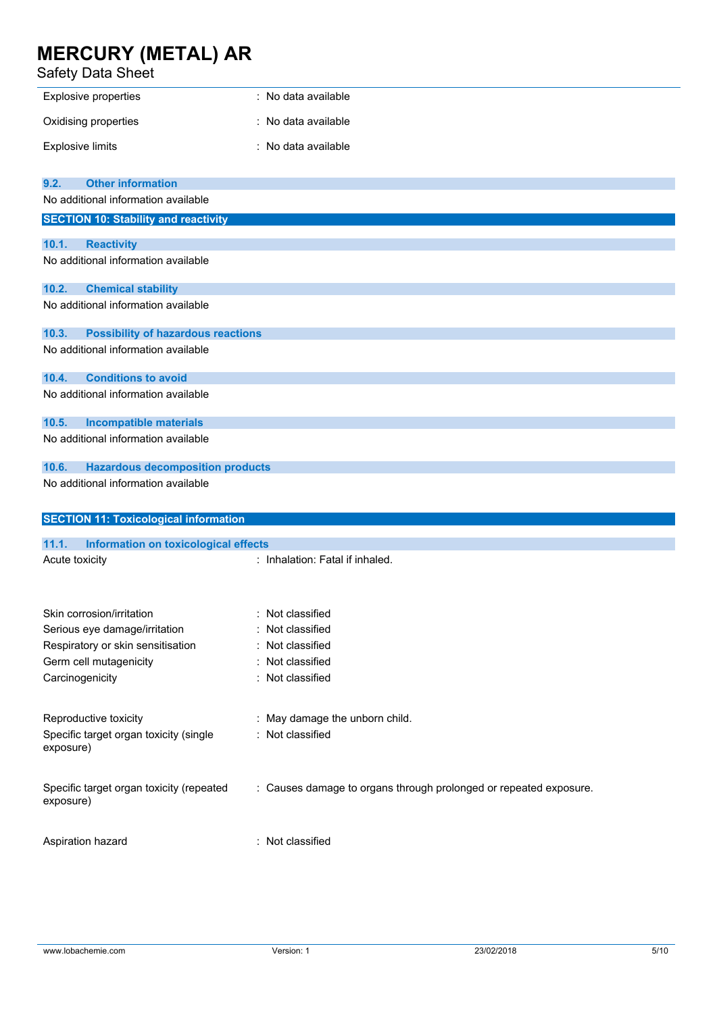## Safety Data Sheet

| sarety Data Sheet                                     |                                                                   |
|-------------------------------------------------------|-------------------------------------------------------------------|
| <b>Explosive properties</b>                           | : No data available                                               |
| Oxidising properties                                  | : No data available                                               |
| <b>Explosive limits</b>                               | : No data available                                               |
| <b>Other information</b><br>9.2.                      |                                                                   |
| No additional information available                   |                                                                   |
| <b>SECTION 10: Stability and reactivity</b>           |                                                                   |
| 10.1.<br><b>Reactivity</b>                            |                                                                   |
| No additional information available                   |                                                                   |
| <b>Chemical stability</b><br>10.2.                    |                                                                   |
| No additional information available                   |                                                                   |
| 10.3.<br><b>Possibility of hazardous reactions</b>    |                                                                   |
| No additional information available                   |                                                                   |
| <b>Conditions to avoid</b><br>10.4.                   |                                                                   |
| No additional information available                   |                                                                   |
| 10.5.<br><b>Incompatible materials</b>                |                                                                   |
| No additional information available                   |                                                                   |
| 10.6.<br><b>Hazardous decomposition products</b>      |                                                                   |
| No additional information available                   |                                                                   |
|                                                       |                                                                   |
| <b>SECTION 11: Toxicological information</b>          |                                                                   |
| 11.1.<br>Information on toxicological effects         |                                                                   |
| Acute toxicity                                        | : Inhalation: Fatal if inhaled.                                   |
| Skin corrosion/irritation                             | Not classified                                                    |
| Serious eye damage/irritation                         | Not classified                                                    |
| Respiratory or skin sensitisation                     | Not classified<br>÷                                               |
| Germ cell mutagenicity                                | Not classified<br>÷                                               |
| Carcinogenicity                                       | : Not classified                                                  |
| Reproductive toxicity                                 | May damage the unborn child.                                      |
| Specific target organ toxicity (single<br>exposure)   | : Not classified                                                  |
| Specific target organ toxicity (repeated<br>exposure) | : Causes damage to organs through prolonged or repeated exposure. |
| Aspiration hazard                                     | : Not classified                                                  |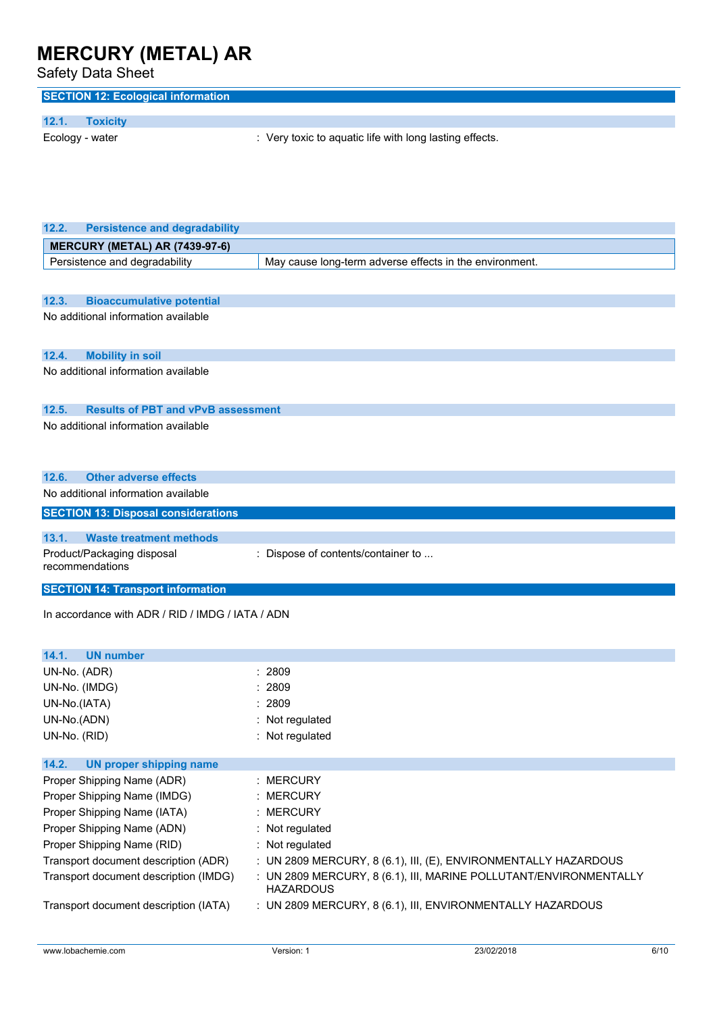| <b>Safety Data Sheet</b>                                                      |                                                                                       |
|-------------------------------------------------------------------------------|---------------------------------------------------------------------------------------|
| <b>SECTION 12: Ecological information</b>                                     |                                                                                       |
| 12.1.<br><b>Toxicity</b>                                                      |                                                                                       |
| Ecology - water                                                               | : Very toxic to aquatic life with long lasting effects.                               |
|                                                                               |                                                                                       |
| 12.2.<br><b>Persistence and degradability</b>                                 |                                                                                       |
| MERCURY (METAL) AR (7439-97-6)                                                |                                                                                       |
| Persistence and degradability                                                 | May cause long-term adverse effects in the environment.                               |
| 12.3.<br><b>Bioaccumulative potential</b>                                     |                                                                                       |
| No additional information available                                           |                                                                                       |
|                                                                               |                                                                                       |
| <b>Mobility in soil</b><br>12.4.                                              |                                                                                       |
| No additional information available                                           |                                                                                       |
| <b>Results of PBT and vPvB assessment</b><br>12.5.                            |                                                                                       |
| No additional information available                                           |                                                                                       |
|                                                                               |                                                                                       |
|                                                                               |                                                                                       |
| 12.6.<br><b>Other adverse effects</b><br>No additional information available  |                                                                                       |
|                                                                               |                                                                                       |
| <b>SECTION 13: Disposal considerations</b>                                    |                                                                                       |
| 13.1.<br><b>Waste treatment methods</b>                                       |                                                                                       |
| Product/Packaging disposal<br>recommendations                                 | : Dispose of contents/container to                                                    |
| <b>SECTION 14: Transport information</b>                                      |                                                                                       |
| In accordance with ADR / RID / IMDG / IATA / ADN                              |                                                                                       |
|                                                                               |                                                                                       |
| 14.1.<br><b>UN number</b>                                                     |                                                                                       |
| UN-No. (ADR)                                                                  | : 2809                                                                                |
| UN-No. (IMDG)                                                                 | : 2809                                                                                |
| UN-No.(IATA)                                                                  | : 2809                                                                                |
| UN-No.(ADN)                                                                   | : Not regulated                                                                       |
| UN-No. (RID)                                                                  | : Not regulated                                                                       |
| 14.2.<br><b>UN proper shipping name</b>                                       |                                                                                       |
| Proper Shipping Name (ADR)                                                    | : MERCURY                                                                             |
| Proper Shipping Name (IMDG)                                                   | : MERCURY                                                                             |
| Proper Shipping Name (IATA)                                                   | <b>MERCURY</b>                                                                        |
|                                                                               |                                                                                       |
|                                                                               | : Not regulated                                                                       |
| Proper Shipping Name (ADN)<br>Proper Shipping Name (RID)                      | : Not regulated                                                                       |
|                                                                               | : UN 2809 MERCURY, 8 (6.1), III, (E), ENVIRONMENTALLY HAZARDOUS                       |
| Transport document description (ADR)<br>Transport document description (IMDG) | : UN 2809 MERCURY, 8 (6.1), III, MARINE POLLUTANT/ENVIRONMENTALLY<br><b>HAZARDOUS</b> |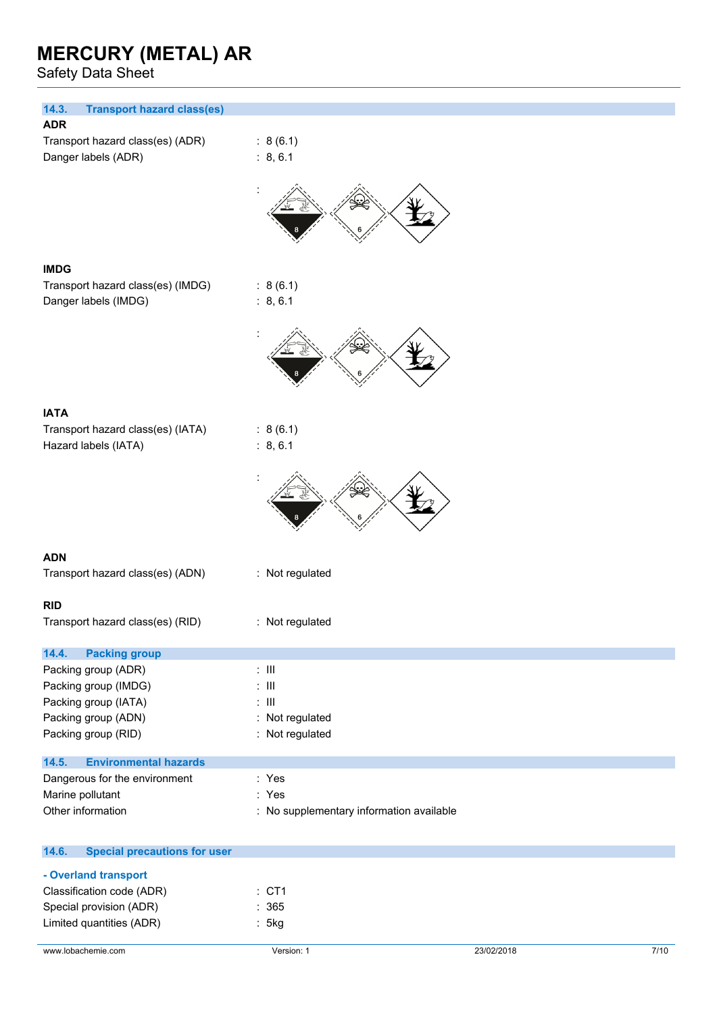Safety Data Sheet

| 14.3.<br><b>Transport hazard class(es)</b>   |                                          |
|----------------------------------------------|------------------------------------------|
| <b>ADR</b>                                   |                                          |
| Transport hazard class(es) (ADR)             | : 8(6.1)                                 |
| Danger labels (ADR)                          | : 8, 6.1                                 |
|                                              |                                          |
|                                              |                                          |
| <b>IMDG</b>                                  |                                          |
| Transport hazard class(es) (IMDG)            | : 8(6.1)                                 |
| Danger labels (IMDG)                         | : 8, 6.1                                 |
|                                              |                                          |
|                                              |                                          |
|                                              |                                          |
| <b>IATA</b>                                  |                                          |
| Transport hazard class(es) (IATA)            | : 8(6.1)                                 |
| Hazard labels (IATA)                         | : 8, 6.1                                 |
|                                              |                                          |
| <b>ADN</b>                                   |                                          |
| Transport hazard class(es) (ADN)             | : Not regulated                          |
|                                              |                                          |
| <b>RID</b>                                   |                                          |
| Transport hazard class(es) (RID)             | : Not regulated                          |
|                                              |                                          |
| 14.4.<br><b>Packing group</b>                |                                          |
| Packing group (ADR)                          | $: \mathsf{III}$                         |
| Packing group (IMDG)                         | $: \mathsf{III}$                         |
| Packing group (IATA)                         | $: \mathsf{III}$                         |
| Packing group (ADN)                          | : Not regulated                          |
| Packing group (RID)                          | : Not regulated                          |
| <b>Environmental hazards</b><br>14.5.        |                                          |
| Dangerous for the environment                | : Yes                                    |
| Marine pollutant                             | : Yes                                    |
| Other information                            | : No supplementary information available |
|                                              |                                          |
| 14.6.<br><b>Special precautions for user</b> |                                          |
| - Overland transport                         |                                          |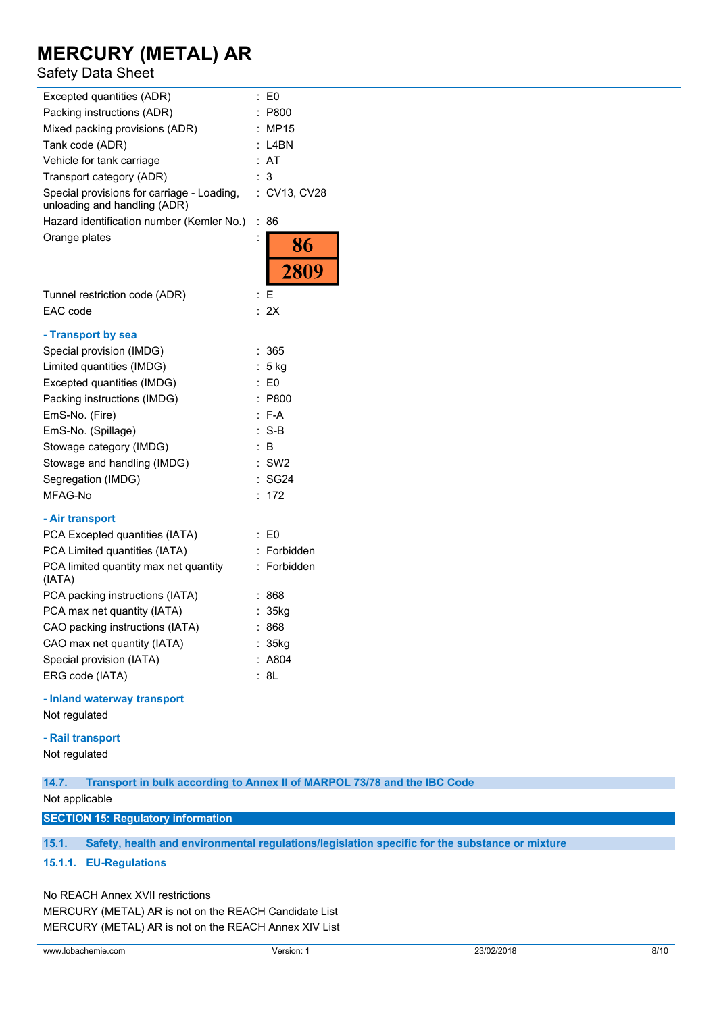## Safety Data Sheet

| Excepted quantities (ADR)                                                  | E0                         |
|----------------------------------------------------------------------------|----------------------------|
| Packing instructions (ADR)                                                 | P800                       |
| Mixed packing provisions (ADR)                                             | <b>MP15</b>                |
| Tank code (ADR)                                                            | L4BN                       |
| Vehicle for tank carriage                                                  | AT                         |
| Transport category (ADR)                                                   | 3                          |
| Special provisions for carriage - Loading,<br>unloading and handling (ADR) | CV13, CV28<br>÷.           |
| Hazard identification number (Kemler No.)                                  | ÷<br>86                    |
| Orange plates                                                              | $\ddot{\phantom{0}}$<br>86 |
|                                                                            | 2809                       |
| Tunnel restriction code (ADR)                                              | Ε<br>:                     |
| EAC code                                                                   | 2X                         |
|                                                                            |                            |
| - Transport by sea                                                         |                            |
| Special provision (IMDG)                                                   | 365                        |
| Limited quantities (IMDG)                                                  | 5 kg                       |
| Excepted quantities (IMDG)                                                 | E <sub>0</sub>             |
| Packing instructions (IMDG)                                                | P800                       |
| EmS-No. (Fire)                                                             | F-A                        |
| EmS-No. (Spillage)                                                         | S-B                        |
| Stowage category (IMDG)                                                    | в                          |
| Stowage and handling (IMDG)                                                | SW <sub>2</sub>            |
| Segregation (IMDG)                                                         | SG <sub>24</sub>           |
| MFAG-No                                                                    | 172                        |
| - Air transport                                                            |                            |
| PCA Excepted quantities (IATA)                                             | E0                         |
| PCA Limited quantities (IATA)                                              | Forbidden                  |
| PCA limited quantity max net quantity<br>(IATA)                            | Forbidden                  |
| PCA packing instructions (IATA)                                            | 868                        |
| PCA max net quantity (IATA)                                                | : 35kg                     |
| CAO packing instructions (IATA)                                            | 868                        |
| CAO max net quantity (IATA)                                                | 35kg                       |
| Special provision (IATA)                                                   | A804                       |
| ERG code (IATA)                                                            | 8L                         |

#### **- Inland waterway transport**

Not regulated

### **- Rail transport**

Not regulated

**14.7. Transport in bulk according to Annex II of MARPOL 73/78 and the IBC Code**

Not applicable

**SECTION 15: Regulatory information**

**15.1. Safety, health and environmental regulations/legislation specific for the substance or mixture**

### **15.1.1. EU-Regulations**

No REACH Annex XVII restrictions

MERCURY (METAL) AR is not on the REACH Candidate List MERCURY (METAL) AR is not on the REACH Annex XIV List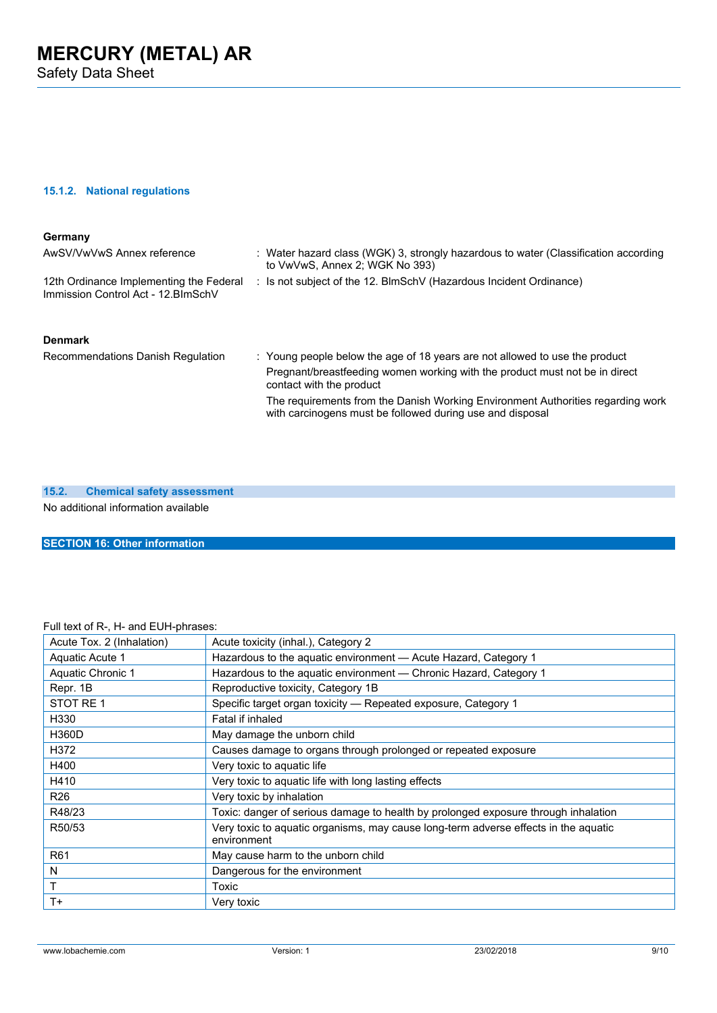Safety Data Sheet

## **15.1.2. National regulations**

| Germany                                                                        |                                                                                                                                              |
|--------------------------------------------------------------------------------|----------------------------------------------------------------------------------------------------------------------------------------------|
| AwSV/VwVwS Annex reference                                                     | : Water hazard class (WGK) 3, strongly hazardous to water (Classification according<br>to VwVwS, Annex 2; WGK No 393)                        |
| 12th Ordinance Implementing the Federal<br>Immission Control Act - 12. BlmSchV | : Is not subject of the 12. BlmSchV (Hazardous Incident Ordinance)                                                                           |
| <b>Denmark</b>                                                                 |                                                                                                                                              |
| Recommendations Danish Regulation                                              | : Young people below the age of 18 years are not allowed to use the product                                                                  |
|                                                                                | Pregnant/breastfeeding women working with the product must not be in direct<br>contact with the product                                      |
|                                                                                | The requirements from the Danish Working Environment Authorities regarding work<br>with carcinogens must be followed during use and disposal |

### **15.2. Chemical safety assessment**

No additional information available

**SECTION 16: Other information**

### Full text of R-, H- and EUH-phrases:

| Acute Tox. 2 (Inhalation) | Acute toxicity (inhal.), Category 2                                                                |
|---------------------------|----------------------------------------------------------------------------------------------------|
| Aquatic Acute 1           | Hazardous to the aquatic environment - Acute Hazard, Category 1                                    |
| Aquatic Chronic 1         | Hazardous to the aquatic environment - Chronic Hazard, Category 1                                  |
| Repr. 1B                  | Reproductive toxicity, Category 1B                                                                 |
| STOT RE <sub>1</sub>      | Specific target organ toxicity - Repeated exposure, Category 1                                     |
| H330                      | Fatal if inhaled                                                                                   |
| <b>H360D</b>              | May damage the unborn child                                                                        |
| H372                      | Causes damage to organs through prolonged or repeated exposure                                     |
| H400                      | Very toxic to aquatic life                                                                         |
| H410                      | Very toxic to aquatic life with long lasting effects                                               |
| R <sub>26</sub>           | Very toxic by inhalation                                                                           |
| R48/23                    | Toxic: danger of serious damage to health by prolonged exposure through inhalation                 |
| R50/53                    | Very toxic to aquatic organisms, may cause long-term adverse effects in the aquatic<br>environment |
| R <sub>61</sub>           | May cause harm to the unborn child                                                                 |
| N                         | Dangerous for the environment                                                                      |
| T                         | Toxic                                                                                              |
| $T +$                     | Very toxic                                                                                         |